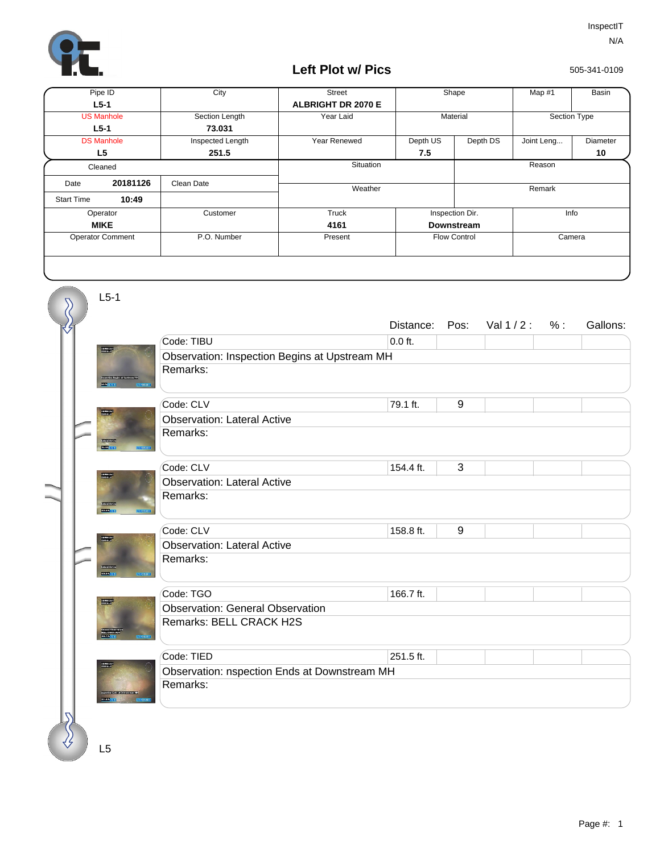

## **Left Plot w/ Pics**

505-341-0109

| Pipe ID                 |          | City             | <b>Street</b>             | Shape                |  | Map #1       | Basin    |  |
|-------------------------|----------|------------------|---------------------------|----------------------|--|--------------|----------|--|
| $L5-1$                  |          |                  | <b>ALBRIGHT DR 2070 E</b> |                      |  |              |          |  |
| <b>US Manhole</b>       |          | Section Length   | Year Laid                 | Material             |  | Section Type |          |  |
| $L5-1$                  |          | 73.031           |                           |                      |  |              |          |  |
| <b>DS Manhole</b>       |          | Inspected Length | Year Renewed              | Depth US<br>Depth DS |  | Joint Leng   | Diameter |  |
| L <sub>5</sub>          |          | 251.5            |                           | 7.5                  |  |              | 10       |  |
| Cleaned                 |          |                  | Situation                 |                      |  | Reason       |          |  |
| Date                    | 20181126 | Clean Date       | Weather                   |                      |  | Remark       |          |  |
| <b>Start Time</b>       | 10:49    |                  |                           |                      |  |              |          |  |
| Operator                |          | Customer         | Truck                     | Inspection Dir.      |  | Info         |          |  |
| <b>MIKE</b>             |          |                  | 4161                      | <b>Downstream</b>    |  |              |          |  |
| <b>Operator Comment</b> |          | P.O. Number      | Present                   | <b>Flow Control</b>  |  | Camera       |          |  |
|                         |          |                  |                           |                      |  |              |          |  |

|  | $L5-1$                            |                                               |           |       |             |     |          |  |  |
|--|-----------------------------------|-----------------------------------------------|-----------|-------|-------------|-----|----------|--|--|
|  |                                   |                                               | Distance: | Pos:  | Val $1/2$ : | % : | Gallons: |  |  |
|  |                                   | Code: TIBU                                    | $0.0$ ft. |       |             |     |          |  |  |
|  |                                   | Observation: Inspection Begins at Upstream MH |           |       |             |     |          |  |  |
|  |                                   | Remarks:                                      |           |       |             |     |          |  |  |
|  |                                   | Code: CLV                                     | 79.1 ft.  | $9\,$ |             |     |          |  |  |
|  |                                   | <b>Observation: Lateral Active</b>            |           |       |             |     |          |  |  |
|  | <b>Standards</b><br><b>COLOR</b>  | Remarks:                                      |           |       |             |     |          |  |  |
|  |                                   | Code: CLV                                     | 154.4 ft. | 3     |             |     |          |  |  |
|  |                                   | <b>Observation: Lateral Active</b>            |           |       |             |     |          |  |  |
|  | <b>COMMUNITY</b>                  | Remarks:                                      |           |       |             |     |          |  |  |
|  |                                   | Code: CLV                                     | 158.8 ft. | 9     |             |     |          |  |  |
|  |                                   | <b>Observation: Lateral Active</b>            |           |       |             |     |          |  |  |
|  | <b>Start Auto</b><br><b>COMPA</b> | Remarks:                                      |           |       |             |     |          |  |  |
|  |                                   | Code: TGO                                     | 166.7 ft. |       |             |     |          |  |  |
|  |                                   | <b>Observation: General Observation</b>       |           |       |             |     |          |  |  |
|  |                                   | Remarks: BELL CRACK H2S                       |           |       |             |     |          |  |  |
|  |                                   | Code: TIED                                    | 251.5 ft. |       |             |     |          |  |  |
|  |                                   | Observation: nspection Ends at Downstream MH  |           |       |             |     |          |  |  |
|  |                                   | Remarks:                                      |           |       |             |     |          |  |  |
|  |                                   |                                               |           |       |             |     |          |  |  |

L5

 $\langle \n \rangle$